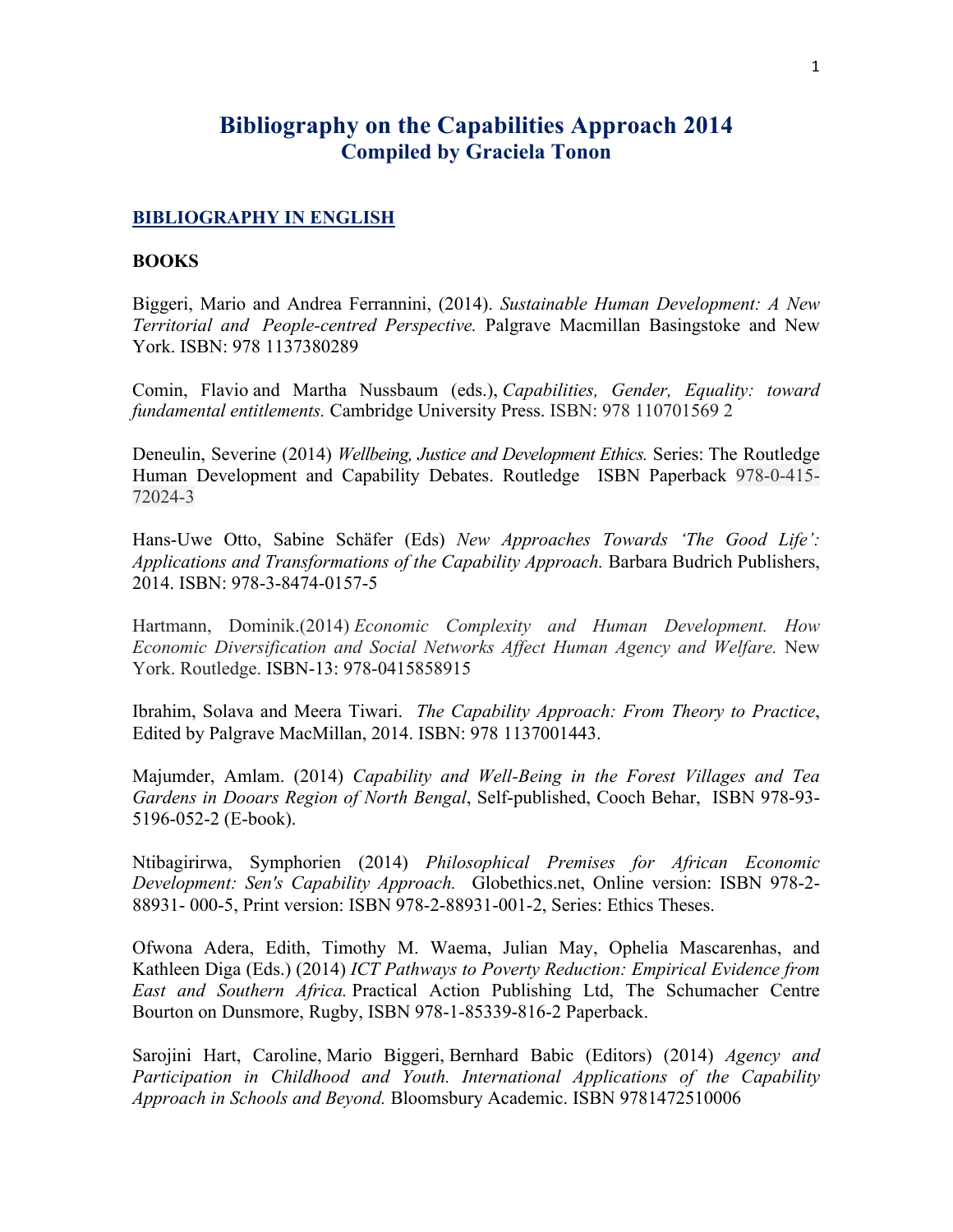# **Bibliography on the Capabilities Approach 2014 Compiled by Graciela Tonon**

#### **BIBLIOGRAPHY IN ENGLISH**

#### **BOOKS**

Biggeri, Mario and Andrea Ferrannini, (2014). *Sustainable Human Development: A New Territorial and People-centred Perspective.* Palgrave Macmillan Basingstoke and New York. ISBN: 978 1137380289

Comin, Flavio and Martha Nussbaum (eds.), *Capabilities, Gender, Equality: toward fundamental entitlements.* Cambridge University Press. ISBN: 978 110701569 2

Deneulin, Severine (2014) *Wellbeing, Justice and Development Ethics.* Series: The Routledge Human Development and Capability Debates. Routledge ISBN Paperback 978-0-415- 72024-3

Hans-Uwe Otto, Sabine Schäfer (Eds) *New Approaches Towards 'The Good Life': Applications and Transformations of the Capability Approach.* Barbara Budrich Publishers, 2014. ISBN: 978-3-8474-0157-5

Hartmann, Dominik.(2014) *Economic Complexity and Human Development. How Economic Diversification and Social Networks Affect Human Agency and Welfare.* New York. Routledge. ISBN-13: 978-0415858915

Ibrahim, Solava and Meera Tiwari. *The Capability Approach: From Theory to Practice*, Edited by Palgrave MacMillan, 2014. ISBN: 978 1137001443.

Majumder, Amlam. (2014) *Capability and Well-Being in the Forest Villages and Tea Gardens in Dooars Region of North Bengal*, Self-published, Cooch Behar, ISBN 978-93- 5196-052-2 (E-book).

Ntibagirirwa, Symphorien (2014) *Philosophical Premises for African Economic Development: Sen's Capability Approach.* Globethics.net, Online version: ISBN 978-2- 88931- 000-5, Print version: ISBN 978-2-88931-001-2, Series: Ethics Theses.

Ofwona Adera, Edith, Timothy M. Waema, Julian May, Ophelia Mascarenhas, and Kathleen Diga (Eds.) (2014) *ICT Pathways to Poverty Reduction: Empirical Evidence from East and Southern Africa.* Practical Action Publishing Ltd, The Schumacher Centre Bourton on Dunsmore, Rugby, ISBN 978-1-85339-816-2 Paperback.

Sarojini Hart, Caroline, Mario Biggeri, Bernhard Babic (Editors) (2014) *Agency and Participation in Childhood and Youth. International Applications of the Capability Approach in Schools and Beyond.* Bloomsbury Academic. ISBN 9781472510006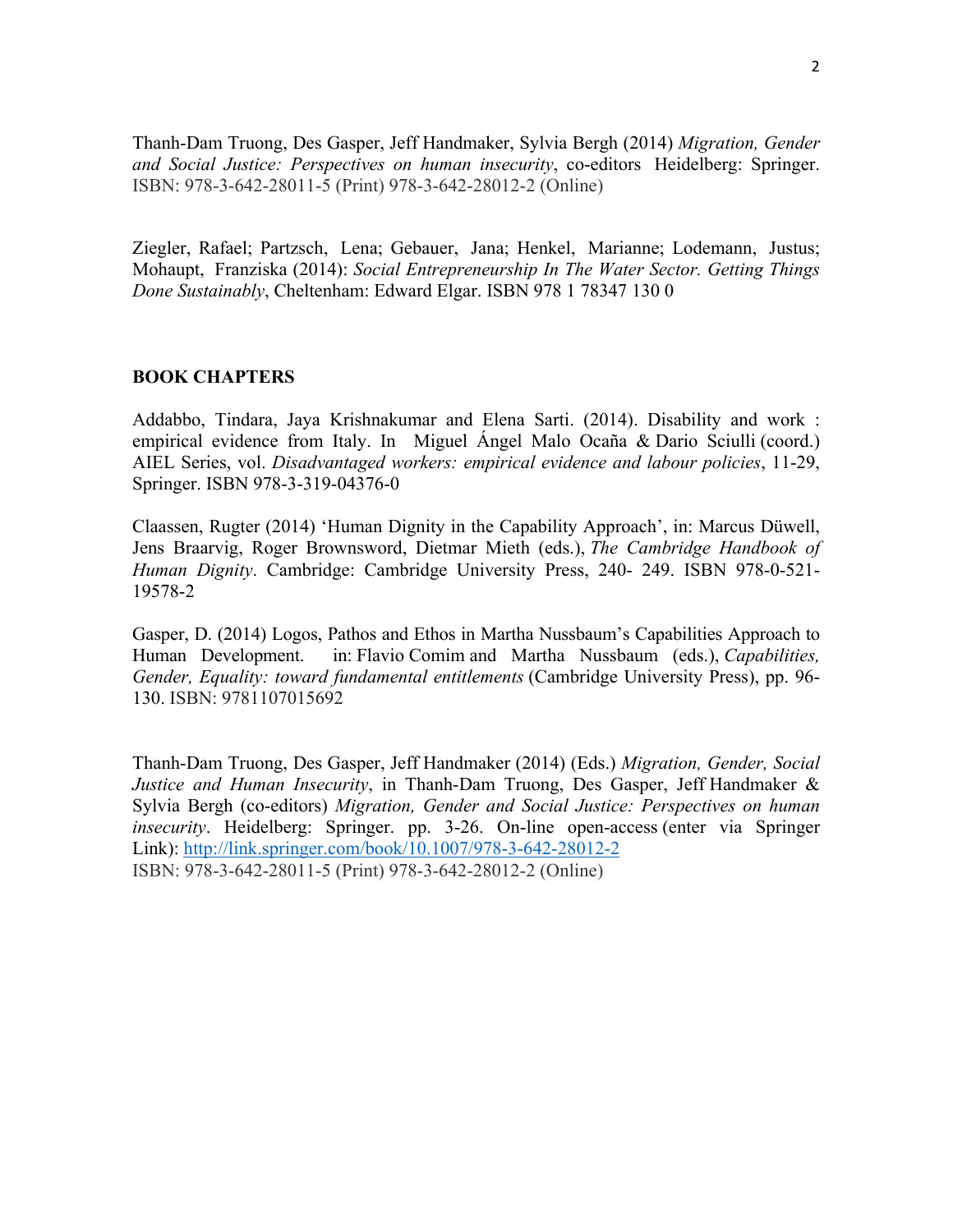Thanh-Dam Truong, Des Gasper, Jeff Handmaker, Sylvia Bergh (2014) *Migration, Gender and Social Justice: Perspectives on human insecurity*, co-editors Heidelberg: Springer. ISBN: 978-3-642-28011-5 (Print) 978-3-642-28012-2 (Online)

Ziegler, Rafael; Partzsch, Lena; Gebauer, Jana; Henkel, Marianne; Lodemann, Justus; Mohaupt, Franziska (2014): *Social Entrepreneurship In The Water Sector. Getting Things Done Sustainably*, Cheltenham: Edward Elgar. ISBN 978 1 78347 130 0

### **BOOK CHAPTERS**

Addabbo, Tindara, Jaya Krishnakumar and Elena Sarti. (2014). Disability and work : empirical evidence from Italy. In Miguel Ángel Malo Ocaña & Dario Sciulli (coord.) AIEL Series, vol. *Disadvantaged workers: empirical evidence and labour policies*, 11-29, Springer. ISBN 978-3-319-04376-0

Claassen, Rugter (2014) 'Human Dignity in the Capability Approach', in: Marcus Düwell, Jens Braarvig, Roger Brownsword, Dietmar Mieth (eds.), *The Cambridge Handbook of Human Dignity*. Cambridge: Cambridge University Press, 240- 249. ISBN 978-0-521- 19578-2

Gasper, D. (2014) Logos, Pathos and Ethos in Martha Nussbaum's Capabilities Approach to Human Development. in: Flavio Comim and Martha Nussbaum (eds.), *Capabilities, Gender, Equality: toward fundamental entitlements* (Cambridge University Press), pp. 96- 130. ISBN: 9781107015692

Thanh-Dam Truong, Des Gasper, Jeff Handmaker (2014) (Eds.) *Migration, Gender, Social Justice and Human Insecurity*, in Thanh-Dam Truong, Des Gasper, Jeff Handmaker & Sylvia Bergh (co-editors) *Migration, Gender and Social Justice: Perspectives on human insecurity*. Heidelberg: Springer. pp. 3-26. On-line open-access (enter via Springer Link): http://link.springer.com/book/10.1007/978-3-642-28012-2 ISBN: 978-3-642-28011-5 (Print) 978-3-642-28012-2 (Online)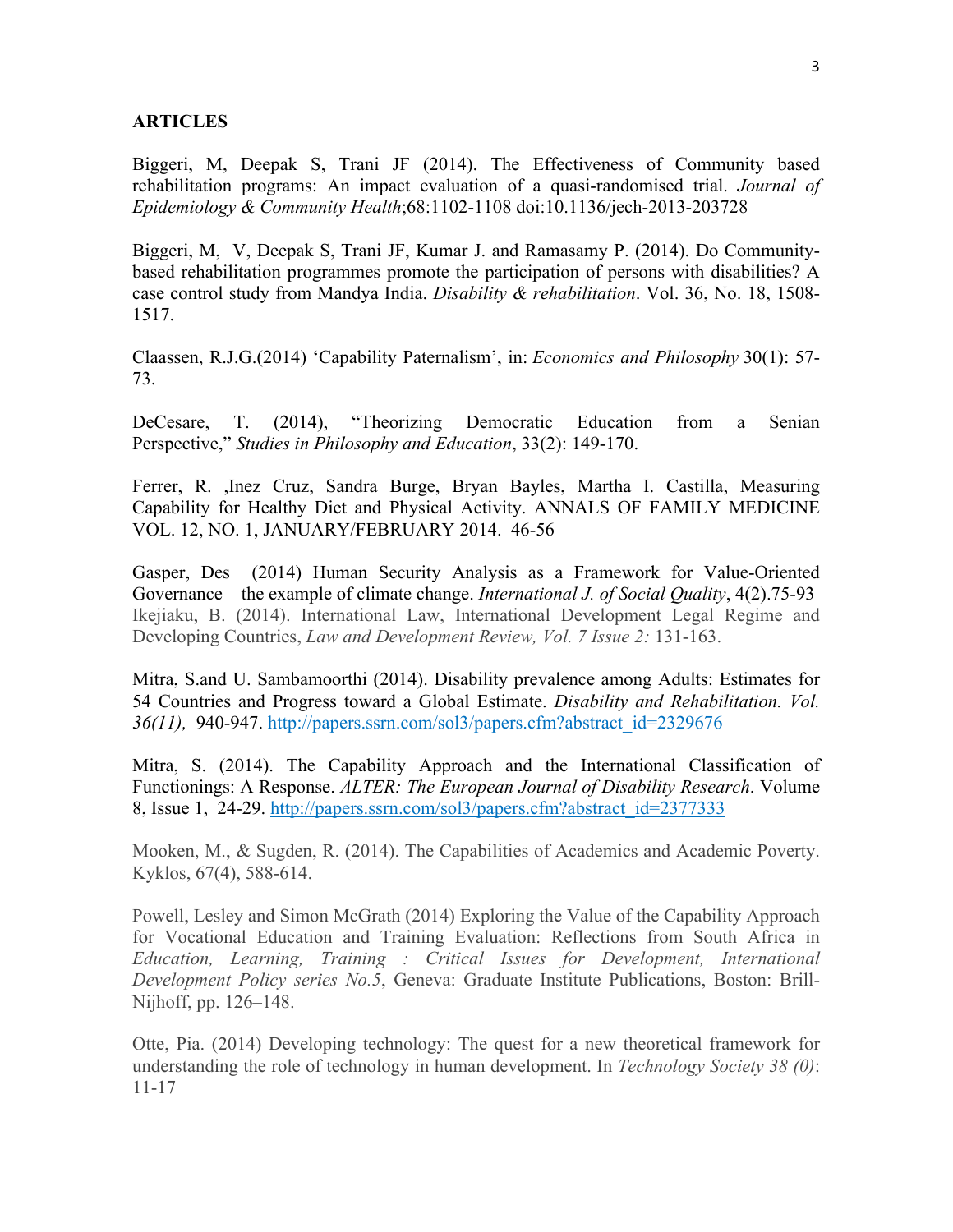#### **ARTICLES**

Biggeri, M, Deepak S, Trani JF (2014). The Effectiveness of Community based rehabilitation programs: An impact evaluation of a quasi-randomised trial. *Journal of Epidemiology & Community Health*;68:1102-1108 doi:10.1136/jech-2013-203728

Biggeri, M, V, Deepak S, Trani JF, Kumar J. and Ramasamy P. (2014). Do Communitybased rehabilitation programmes promote the participation of persons with disabilities? A case control study from Mandya India. *Disability & rehabilitation*. Vol. 36, No. 18, 1508- 1517.

Claassen, R.J.G.(2014) 'Capability Paternalism', in: *Economics and Philosophy* 30(1): 57- 73.

DeCesare, T. (2014), "Theorizing Democratic Education from a Senian Perspective," *Studies in Philosophy and Education*, 33(2): 149-170.

Ferrer, R. ,Inez Cruz, Sandra Burge, Bryan Bayles, Martha I. Castilla, Measuring Capability for Healthy Diet and Physical Activity. ANNALS OF FAMILY MEDICINE VOL. 12, NO. 1, JANUARY/FEBRUARY 2014. 46-56

Gasper, Des (2014) Human Security Analysis as a Framework for Value-Oriented Governance – the example of climate change. *International J. of Social Quality*, 4(2).75-93 Ikejiaku, B. (2014). International Law, International Development Legal Regime and Developing Countries, *Law and Development Review, Vol. 7 Issue 2:* 131-163.

Mitra, S.and U. Sambamoorthi (2014). Disability prevalence among Adults: Estimates for 54 Countries and Progress toward a Global Estimate. *Disability and Rehabilitation. Vol. 36(11),* 940-947. http://papers.ssrn.com/sol3/papers.cfm?abstract\_id=2329676

Mitra, S. (2014). The Capability Approach and the International Classification of Functionings: A Response. *ALTER: The European Journal of Disability Research*. Volume 8, Issue 1, 24-29. http://papers.ssrn.com/sol3/papers.cfm?abstract\_id=2377333

Mooken, M., & Sugden, R. (2014). The Capabilities of Academics and Academic Poverty. Kyklos, 67(4), 588-614.

Powell, Lesley and Simon McGrath (2014) Exploring the Value of the Capability Approach for Vocational Education and Training Evaluation: Reflections from South Africa in *Education, Learning, Training : Critical Issues for Development, International Development Policy series No.5*, Geneva: Graduate Institute Publications, Boston: Brill-Nijhoff, pp. 126–148.

Otte, Pia. (2014) Developing technology: The quest for a new theoretical framework for understanding the role of technology in human development. In *Technology Society 38 (0)*: 11-17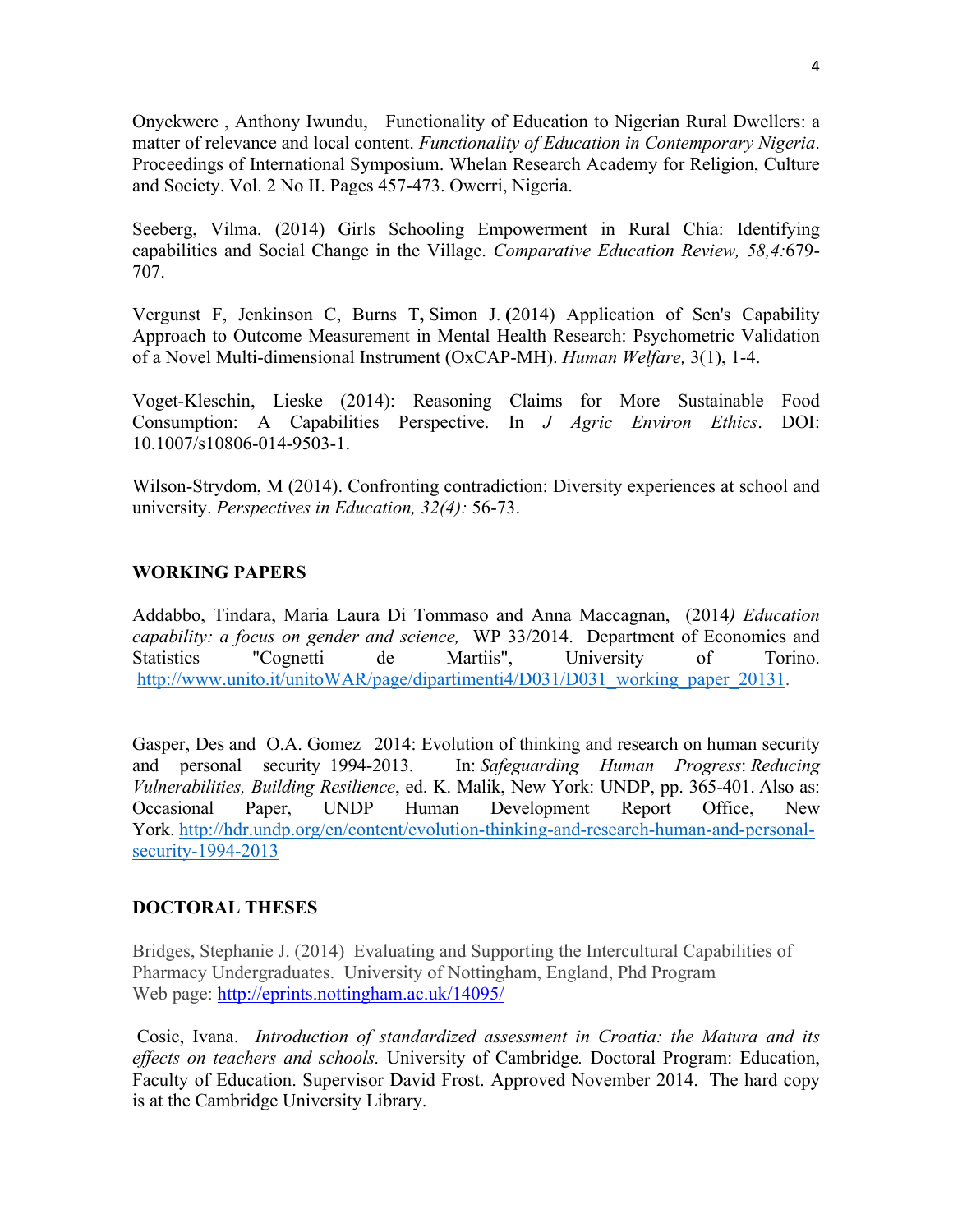Onyekwere , Anthony Iwundu, Functionality of Education to Nigerian Rural Dwellers: a matter of relevance and local content. *Functionality of Education in Contemporary Nigeria*. Proceedings of International Symposium. Whelan Research Academy for Religion, Culture and Society. Vol. 2 No II. Pages 457-473. Owerri, Nigeria.

Seeberg, Vilma. (2014) Girls Schooling Empowerment in Rural Chia: Identifying capabilities and Social Change in the Village. *Comparative Education Review, 58,4:*679- 707.

Vergunst F, Jenkinson C, Burns T**,** Simon J. **(**2014) Application of Sen's Capability Approach to Outcome Measurement in Mental Health Research: Psychometric Validation of a Novel Multi-dimensional Instrument (OxCAP-MH). *Human Welfare,* 3(1), 1-4.

Voget-Kleschin, Lieske (2014): Reasoning Claims for More Sustainable Food Consumption: A Capabilities Perspective. In *J Agric Environ Ethics*. DOI: 10.1007/s10806-014-9503-1.

Wilson-Strydom, M (2014). Confronting contradiction: Diversity experiences at school and university. *Perspectives in Education, 32(4):* 56-73.

# **WORKING PAPERS**

Addabbo, Tindara, Maria Laura Di Tommaso and Anna Maccagnan, (2014*) Education capability: a focus on gender and science,* WP 33/2014. Department of Economics and Statistics "Cognetti de Martiis", University of Torino. http://www.unito.it/unitoWAR/page/dipartimenti4/D031/D031\_working\_paper\_20131.

Gasper, Des and O.A. Gomez 2014: Evolution of thinking and research on human security and personal security 1994-2013. In: *Safeguarding Human Progress*: *Reducing Vulnerabilities, Building Resilience*, ed. K. Malik, New York: UNDP, pp. 365-401. Also as: Occasional Paper, UNDP Human Development Report Office, New York. http://hdr.undp.org/en/content/evolution-thinking-and-research-human-and-personalsecurity-1994-2013

# **DOCTORAL THESES**

Bridges, Stephanie J. (2014) Evaluating and Supporting the Intercultural Capabilities of Pharmacy Undergraduates. University of Nottingham, England, Phd Program Web page: http://eprints.nottingham.ac.uk/14095/

 Cosic, Ivana. *Introduction of standardized assessment in Croatia: the Matura and its effects on teachers and schools.* University of Cambridge*.* Doctoral Program: Education, Faculty of Education. Supervisor David Frost. Approved November 2014. The hard copy is at the Cambridge University Library.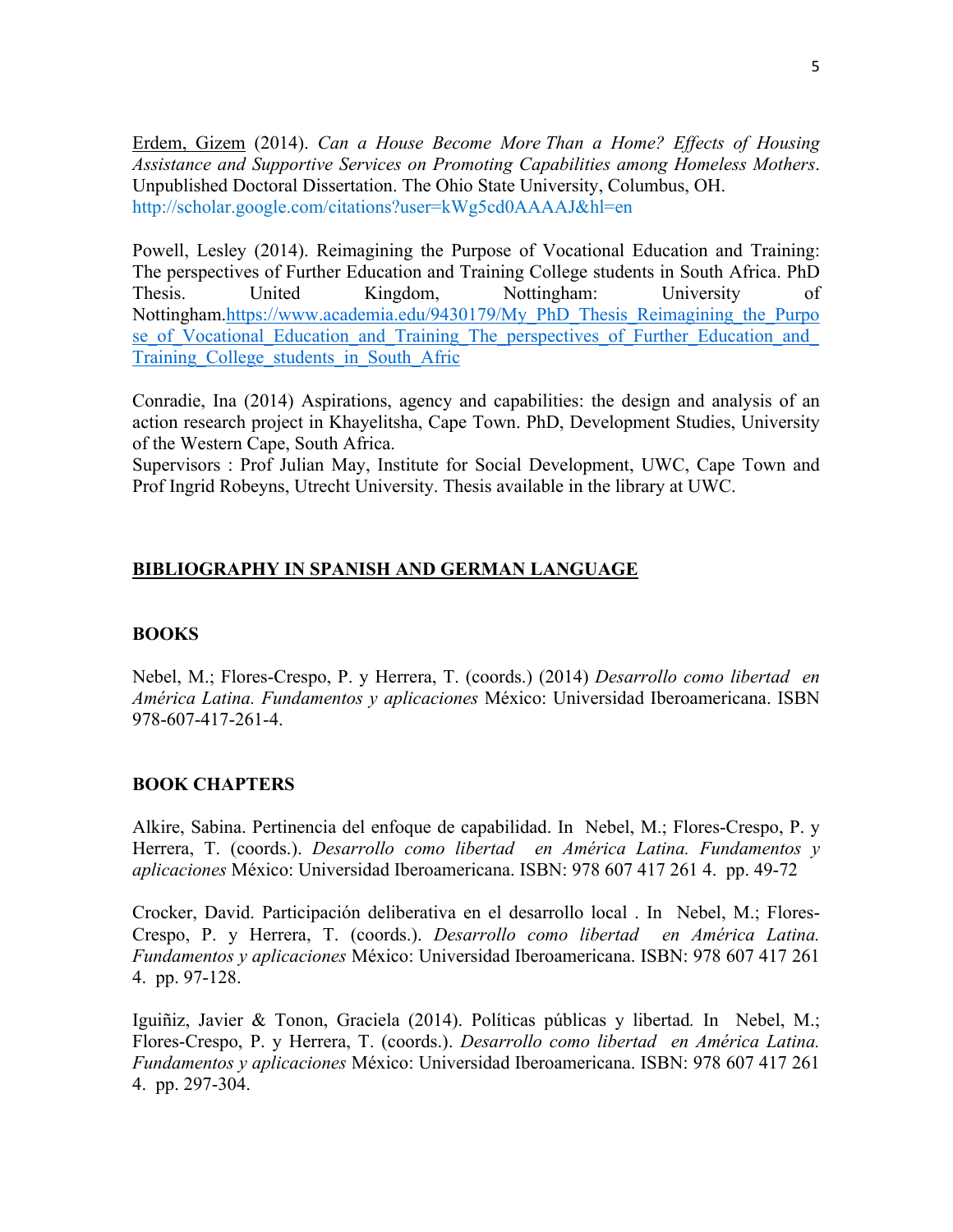Erdem, Gizem (2014). *Can a House Become More Than a Home? Effects of Housing Assistance and Supportive Services on Promoting Capabilities among Homeless Mothers*. Unpublished Doctoral Dissertation. The Ohio State University, Columbus, OH. http://scholar.google.com/citations?user=kWg5cd0AAAAJ&hl=en

Powell, Lesley (2014). Reimagining the Purpose of Vocational Education and Training: The perspectives of Further Education and Training College students in South Africa. PhD Thesis. United Kingdom, Nottingham: University of Nottingham.https://www.academia.edu/9430179/My\_PhD\_Thesis\_Reimagining\_the\_Purpo se of Vocational Education and Training The perspectives of Further Education and Training\_College\_students\_in\_South\_Afric

Conradie, Ina (2014) Aspirations, agency and capabilities: the design and analysis of an action research project in Khayelitsha, Cape Town. PhD, Development Studies, University of the Western Cape, South Africa.

Supervisors : Prof Julian May, Institute for Social Development, UWC, Cape Town and Prof Ingrid Robeyns, Utrecht University. Thesis available in the library at UWC.

### **BIBLIOGRAPHY IN SPANISH AND GERMAN LANGUAGE**

### **BOOKS**

Nebel, M.; Flores-Crespo, P. y Herrera, T. (coords.) (2014) *Desarrollo como libertad en América Latina. Fundamentos y aplicaciones* México: Universidad Iberoamericana. ISBN 978-607-417-261-4.

### **BOOK CHAPTERS**

Alkire, Sabina. Pertinencia del enfoque de capabilidad. In Nebel, M.; Flores-Crespo, P. y Herrera, T. (coords.). *Desarrollo como libertad en América Latina. Fundamentos y aplicaciones* México: Universidad Iberoamericana. ISBN: 978 607 417 261 4. pp. 49-72

Crocker, David. Participación deliberativa en el desarrollo local . In Nebel, M.; Flores-Crespo, P. y Herrera, T. (coords.). *Desarrollo como libertad en América Latina. Fundamentos y aplicaciones* México: Universidad Iberoamericana. ISBN: 978 607 417 261 4. pp. 97-128.

Iguiñiz, Javier & Tonon, Graciela (2014). Políticas públicas y libertad*.* In Nebel, M.; Flores-Crespo, P. y Herrera, T. (coords.). *Desarrollo como libertad en América Latina. Fundamentos y aplicaciones* México: Universidad Iberoamericana. ISBN: 978 607 417 261 4. pp. 297-304.